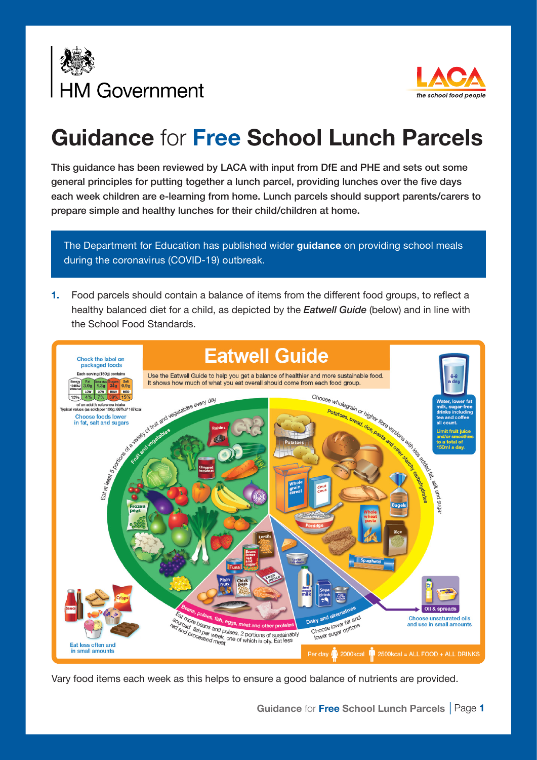



# **Guidance** for **Free School Lunch Parcels**

This guidance has been reviewed by LACA with input from DfE and PHE and sets out some general principles for putting together a lunch parcel, providing lunches over the five days each week children are e-learning from home. Lunch parcels should support parents/carers to prepare simple and healthy lunches for their child/children at home.

The Department for Education has published wider **guidance** on providing school meals during the coronavirus (COVID-19) outbreak.

**1.** Food parcels should contain a balance of items from the different food groups, to reflect a healthy balanced diet for a child, as depicted by the *Eatwell Guide* (below) and in line with the School Food Standards.



Vary food items each week as this helps to ensure a good balance of nutrients are provided.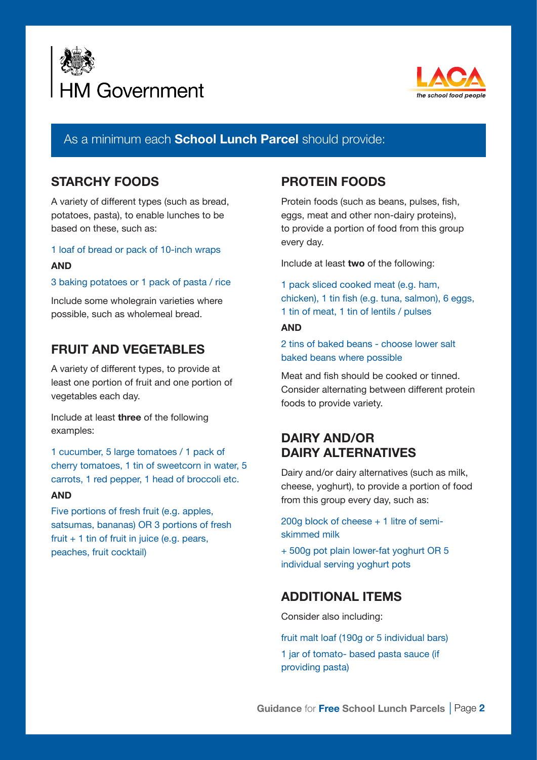



## As a minimum each **School Lunch Parcel** should provide:

## **STARCHY FOODS**

A variety of different types (such as bread, potatoes, pasta), to enable lunches to be based on these, such as:

### 1 loaf of bread or pack of 10-inch wraps

#### **AND**

#### 3 baking potatoes or 1 pack of pasta / rice

Include some wholegrain varieties where possible, such as wholemeal bread.

## **FRUIT AND VEGETABLES**

A variety of different types, to provide at least one portion of fruit and one portion of vegetables each day.

Include at least **three** of the following examples:

1 cucumber, 5 large tomatoes / 1 pack of cherry tomatoes, 1 tin of sweetcorn in water, 5 carrots, 1 red pepper, 1 head of broccoli etc.

#### **AND**

Five portions of fresh fruit (e.g. apples, satsumas, bananas) OR 3 portions of fresh fruit  $+1$  tin of fruit in juice (e.g. pears, peaches, fruit cocktail)

## **PROTEIN FOODS**

Protein foods (such as beans, pulses, fish, eggs, meat and other non-dairy proteins), to provide a portion of food from this group every day.

Include at least **two** of the following:

1 pack sliced cooked meat (e.g. ham, chicken), 1 tin fish (e.g. tuna, salmon), 6 eggs, 1 tin of meat, 1 tin of lentils / pulses

#### **AND**

2 tins of baked beans - choose lower salt baked beans where possible

Meat and fish should be cooked or tinned. Consider alternating between different protein foods to provide variety.

## **DAIRY AND/OR DAIRY ALTERNATIVES**

Dairy and/or dairy alternatives (such as milk, cheese, yoghurt), to provide a portion of food from this group every day, such as:

200g block of cheese + 1 litre of semiskimmed milk

+ 500g pot plain lower-fat yoghurt OR 5 individual serving yoghurt pots

## **ADDITIONAL ITEMS**

Consider also including:

fruit malt loaf (190g or 5 individual bars) 1 jar of tomato- based pasta sauce (if providing pasta)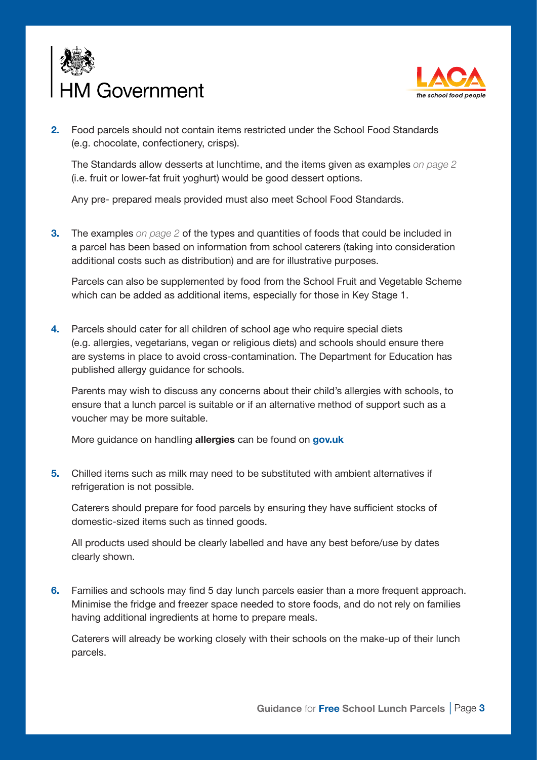



**2.** Food parcels should not contain items restricted under the School Food Standards (e.g. chocolate, confectionery, crisps).

 The Standards allow desserts at lunchtime, and the items given as examples *on page 2* (i.e. fruit or lower-fat fruit yoghurt) would be good dessert options.

Any pre- prepared meals provided must also meet School Food Standards.

**3.** The examples *on page 2* of the types and quantities of foods that could be included in a parcel has been based on information from school caterers (taking into consideration additional costs such as distribution) and are for illustrative purposes.

Parcels can also be supplemented by food from the School Fruit and Vegetable Scheme which can be added as additional items, especially for those in Key Stage 1.

**4.** Parcels should cater for all children of school age who require special diets (e.g. allergies, vegetarians, vegan or religious diets) and schools should ensure there are systems in place to avoid cross-contamination. The Department for Education has published allergy guidance for schools.

 Parents may wish to discuss any concerns about their child's allergies with schools, to ensure that a lunch parcel is suitable or if an alternative method of support such as a voucher may be more suitable.

More guidance on handling **allergies** can be found on **gov.uk**

**5.** Chilled items such as milk may need to be substituted with ambient alternatives if refrigeration is not possible.

 Caterers should prepare for food parcels by ensuring they have sufficient stocks of domestic-sized items such as tinned goods.

All products used should be clearly labelled and have any best before/use by dates clearly shown.

**6.** Families and schools may find 5 day lunch parcels easier than a more frequent approach. Minimise the fridge and freezer space needed to store foods, and do not rely on families having additional ingredients at home to prepare meals.

Caterers will already be working closely with their schools on the make-up of their lunch parcels.